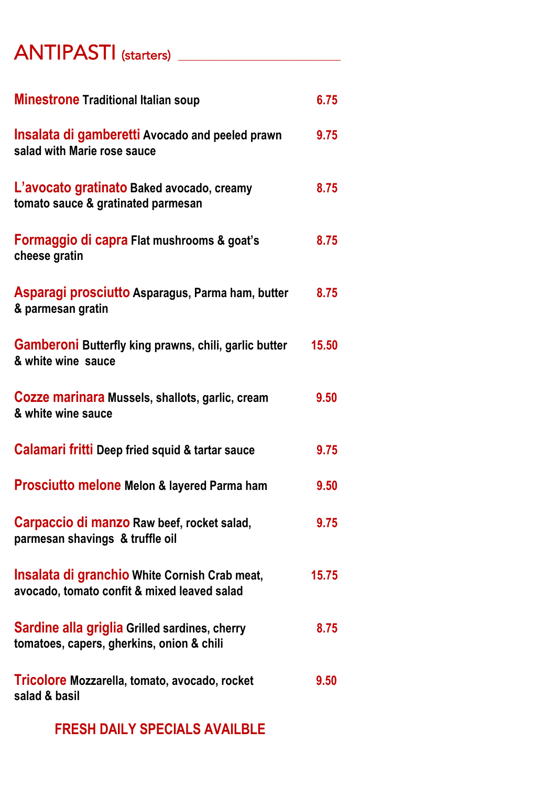### ANTIPASTI (starters) \_\_\_\_\_\_\_\_\_\_\_\_\_\_\_\_\_\_\_\_\_\_\_\_\_\_\_\_\_

| <b>Minestrone Traditional Italian soup</b>                                                          | 6.75  |
|-----------------------------------------------------------------------------------------------------|-------|
| <b>Insalata di gamberetti Avocado and peeled prawn</b><br>salad with Marie rose sauce               | 9.75  |
| L'avocato gratinato Baked avocado, creamy<br>tomato sauce & gratinated parmesan                     | 8.75  |
| Formaggio di capra Flat mushrooms & goat's<br>cheese gratin                                         | 8.75  |
| Asparagi prosciutto Asparagus, Parma ham, butter<br>& parmesan gratin                               | 8.75  |
| <b>Gamberoni Butterfly king prawns, chili, garlic butter</b><br>& white wine sauce                  | 15.50 |
| Cozze marinara Mussels, shallots, garlic, cream<br>& white wine sauce                               | 9.50  |
| Calamari fritti Deep fried squid & tartar sauce                                                     | 9.75  |
| <b>Prosciutto melone Melon &amp; layered Parma ham</b>                                              | 9.50  |
| Carpaccio di manzo Raw beef, rocket salad,<br>parmesan shavings & truffle oil                       | 9.75  |
| <b>Insalata di granchio White Cornish Crab meat,</b><br>avocado, tomato confit & mixed leaved salad | 15.75 |
| <b>Sardine alla griglia Grilled sardines, cherry</b><br>tomatoes, capers, gherkins, onion & chili   | 8.75  |
| Tricolore Mozzarella, tomato, avocado, rocket<br>salad & basil                                      | 9.50  |

 **FRESH DAILY SPECIALS AVAILBLE**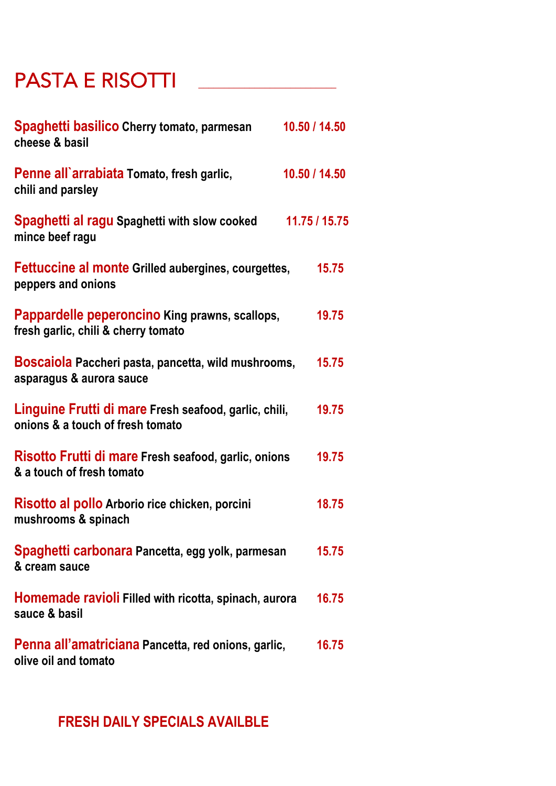## PASTA E RISOTTI **\_\_\_\_\_\_\_\_\_\_\_\_\_\_\_\_\_\_\_\_\_\_\_\_\_\_\_**

| Spaghetti basilico Cherry tomato, parmesan<br>cheese & basil                              | 10.50 / 14.50 |
|-------------------------------------------------------------------------------------------|---------------|
| Penne all'arrabiata Tomato, fresh garlic,<br>chili and parsley                            | 10.50 / 14.50 |
| Spaghetti al ragu Spaghetti with slow cooked<br>mince beef ragu                           | 11.75 / 15.75 |
| <b>Fettuccine al monte Grilled aubergines, courgettes,</b><br>peppers and onions          | 15.75         |
| Pappardelle peperoncino King prawns, scallops,<br>fresh garlic, chili & cherry tomato     | 19.75         |
| Boscaiola Paccheri pasta, pancetta, wild mushrooms,<br>asparagus & aurora sauce           | 15.75         |
| Linguine Frutti di mare Fresh seafood, garlic, chili,<br>onions & a touch of fresh tomato | 19.75         |
| Risotto Frutti di mare Fresh seafood, garlic, onions<br>& a touch of fresh tomato         | 19.75         |
| Risotto al pollo Arborio rice chicken, porcini<br>mushrooms & spinach                     | 18.75         |
| Spaghetti carbonara Pancetta, egg yolk, parmesan<br>& cream sauce                         | 15.75         |
| <b>Homemade ravioli Filled with ricotta, spinach, aurora</b><br>sauce & basil             | 16.75         |
| Penna all'amatriciana Pancetta, red onions, garlic,<br>olive oil and tomato               | 16.75         |

#### **FRESH DAILY SPECIALS AVAILBLE**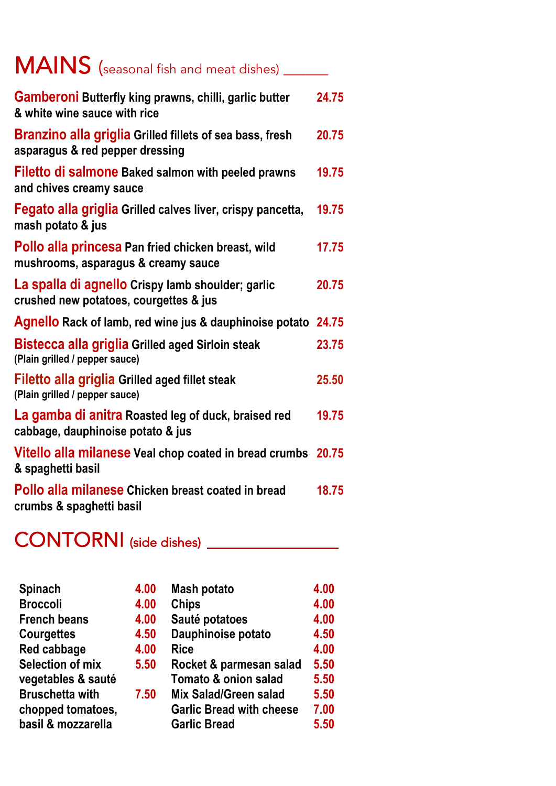| MAINS (seasonal fish and meat dishes) __                                                           |       |
|----------------------------------------------------------------------------------------------------|-------|
| <b>Gamberoni Butterfly king prawns, chilli, garlic butter</b><br>& white wine sauce with rice      | 24.75 |
| <b>Branzino alla griglia Grilled fillets of sea bass, fresh</b><br>asparagus & red pepper dressing | 20.75 |
| <b>Filetto di salmone Baked salmon with peeled prawns</b><br>and chives creamy sauce               | 19.75 |
| Fegato alla griglia Grilled calves liver, crispy pancetta,<br>mash potato & jus                    | 19.75 |
| Pollo alla princesa Pan fried chicken breast, wild<br>mushrooms, asparagus & creamy sauce          | 17.75 |
| La spalla di agnello Crispy lamb shoulder; garlic<br>crushed new potatoes, courgettes & jus        | 20.75 |
| <b>Agnello Rack of lamb, red wine jus &amp; dauphinoise potato 24.75</b>                           |       |
| <b>Bistecca alla griglia Grilled aged Sirloin steak</b><br>(Plain grilled / pepper sauce)          | 23.75 |
| Filetto alla griglia Grilled aged fillet steak<br>(Plain grilled / pepper sauce)                   | 25.50 |
| La gamba di anitra Roasted leg of duck, braised red<br>cabbage, dauphinoise potato & jus           | 19.75 |
| Vitello alla milanese Veal chop coated in bread crumbs 20.75<br>& spaghetti basil                  |       |
| Pollo alla milanese Chicken breast coated in bread<br>crumbs & spaghetti basil                     | 18.75 |

# CONTORNI (side dishes) \_\_\_\_\_\_\_\_\_\_\_\_\_\_

| <b>Spinach</b>          | 4.00 | <b>Mash potato</b>              |
|-------------------------|------|---------------------------------|
| <b>Broccoli</b>         | 4.00 | <b>Chips</b>                    |
| <b>French beans</b>     | 4.00 | Sauté potatoes                  |
| <b>Courgettes</b>       | 4.50 | Dauphinoise potato              |
| Red cabbage             | 4.00 | <b>Rice</b>                     |
| <b>Selection of mix</b> | 5.50 | Rocket & parmesan salad         |
| vegetables & sauté      |      | Tomato & onion salad            |
| <b>Bruschetta with</b>  | 7.50 | Mix Salad/Green salad           |
| chopped tomatoes,       |      | <b>Garlic Bread with cheese</b> |
| basil & mozzarella      |      | <b>Garlic Bread</b>             |

**4.00 4.00 4.00**

**4.50 4.00**

**5.50 5.50**

**5.50 7.00 5.50**